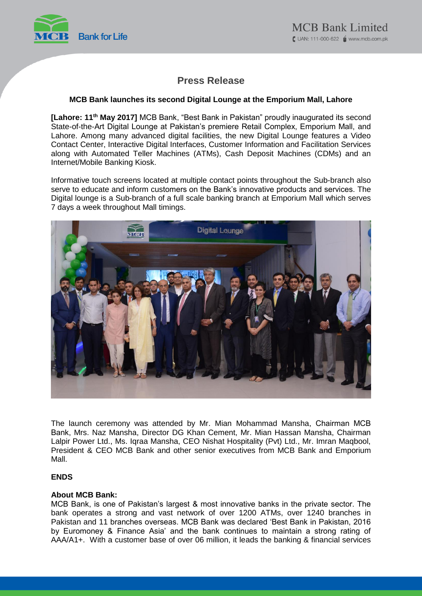

# **Press Release**

## **MCB Bank launches its second Digital Lounge at the Emporium Mall, Lahore**

[Lahore: 11<sup>th</sup> May 2017] MCB Bank, "Best Bank in Pakistan" proudly inaugurated its second State-of-the-Art Digital Lounge at Pakistan's premiere Retail Complex, Emporium Mall, and Lahore. Among many advanced digital facilities, the new Digital Lounge features a Video Contact Center, Interactive Digital Interfaces, Customer Information and Facilitation Services along with Automated Teller Machines (ATMs), Cash Deposit Machines (CDMs) and an Internet/Mobile Banking Kiosk.

Informative touch screens located at multiple contact points throughout the Sub-branch also serve to educate and inform customers on the Bank's innovative products and services. The Digital lounge is a Sub-branch of a full scale banking branch at Emporium Mall which serves 7 days a week throughout Mall timings.



The launch ceremony was attended by Mr. Mian Mohammad Mansha, Chairman MCB Bank, Mrs. Naz Mansha, Director DG Khan Cement, Mr. Mian Hassan Mansha, Chairman Lalpir Power Ltd., Ms. Iqraa Mansha, CEO Nishat Hospitality (Pvt) Ltd., Mr. Imran Maqbool, President & CEO MCB Bank and other senior executives from MCB Bank and Emporium Mall.

## **ENDS**

### **About MCB Bank:**

MCB Bank, is one of Pakistan's largest & most innovative banks in the private sector. The bank operates a strong and vast network of over 1200 ATMs, over 1240 branches in Pakistan and 11 branches overseas. MCB Bank was declared 'Best Bank in Pakistan, 2016 by Euromoney & Finance Asia' and the bank continues to maintain a strong rating of AAA/A1+. With a customer base of over 06 million, it leads the banking & financial services